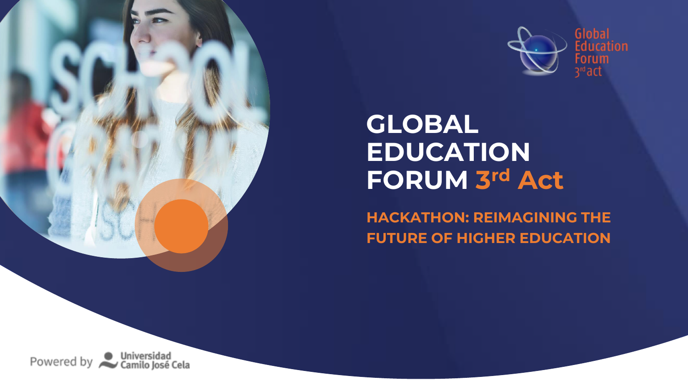

# **GLOBAL EDUCATION FORUM 3 rd Act**

**HACKATHON: REIMAGINING THE FUTURE OF HIGHER EDUCATION**

Powered by Universidad<br>Camilo José Cela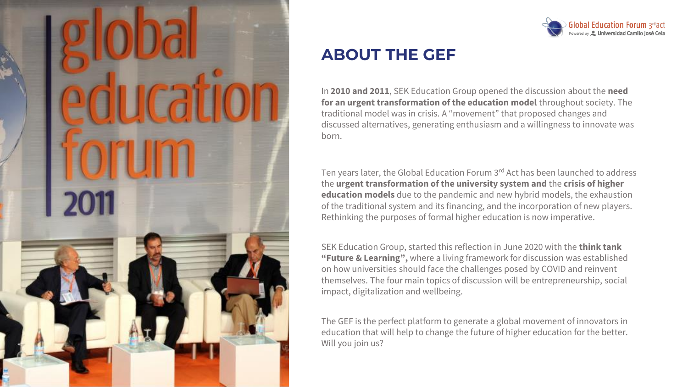



# **ABOUT THE GEF**

In **2010 and 2011**, SEK Education Group opened the discussion about the **need for an urgent transformation of the education model** throughout society. The traditional model was in crisis. A "movement" that proposed changes and discussed alternatives, generating enthusiasm and a willingness to innovate was born.

Ten years later, the Global Education Forum 3rd Act has been launched to address the **urgent transformation of the university system and** the **crisis of higher education models** due to the pandemic and new hybrid models, the exhaustion of the traditional system and its financing, and the incorporation of new players. Rethinking the purposes of formal higher education is now imperative.

SEK Education Group, started this reflection in June 2020 with the **think tank "Future & Learning",** where a living framework for discussion was established on how universities should face the challenges posed by COVID and reinvent themselves. The four main topics of discussion will be entrepreneurship, social impact, digitalization and wellbeing.

The GEF is the perfect platform to generate a global movement of innovators in education that will help to change the future of higher education for the better. Will you join us?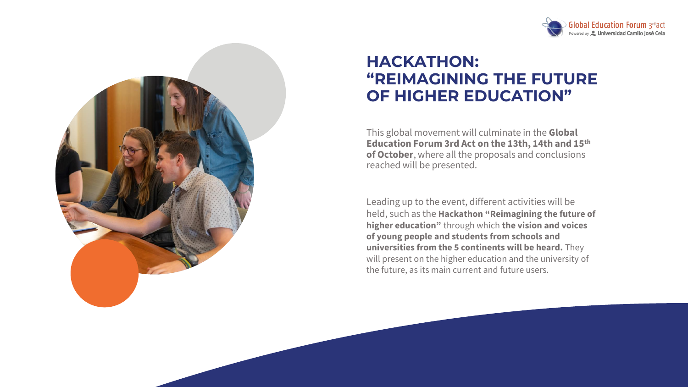



# **HACKATHON: "REIMAGINING THE FUTURE OF HIGHER EDUCATION"**

This global movement will culminate in the **Global Education Forum 3rd Act on the 13th, 14th and 15th of October**, where all the proposals and conclusions reached will be presented.

Leading up to the event, different activities will be held, such as the **Hackathon "Reimagining the future of higher education"** through which **the vision and voices of young people and students from schools and universities from the 5 continents will be heard.** They will present on the higher education and the university of the future, as its main current and future users.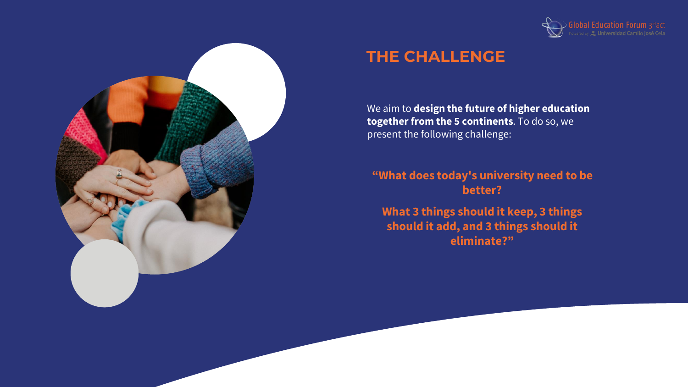



# **THE CHALLENGE**

We aim to **design the future of higher education together from the 5 continents**. To do so, we present the following challenge:

#### **"What does today's university need to be better?**

**What 3 things should it keep, 3 things should it add, and 3 things should it eliminate?"**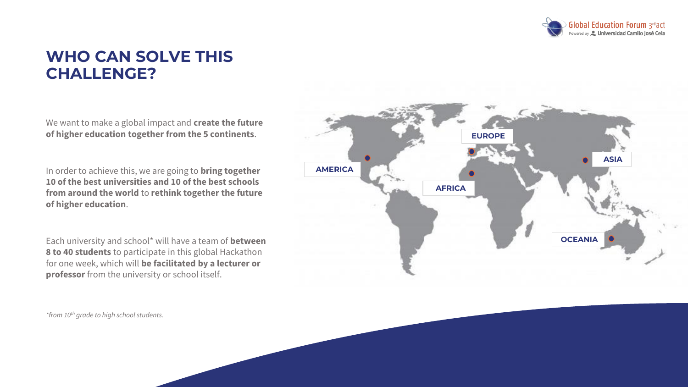

### **WHO CAN SOLVE THIS CHALLENGE?**

We want to make a global impact and **create the future of higher education together from the 5 continents**.

In order to achieve this, we are going to **bring together 10 of the best universities and 10 of the best schools from around the world** to **rethink together the future of higher education**.

Each university and school\* will have a team of **between 8 to 40 students** to participate in this global Hackathon for one week, which will **be facilitated by a lecturer or professor** from the university or school itself.

**AMERICA OCEANIA EUROPE ASIA AFRICA** 

*\*from 10th grade to high school students.*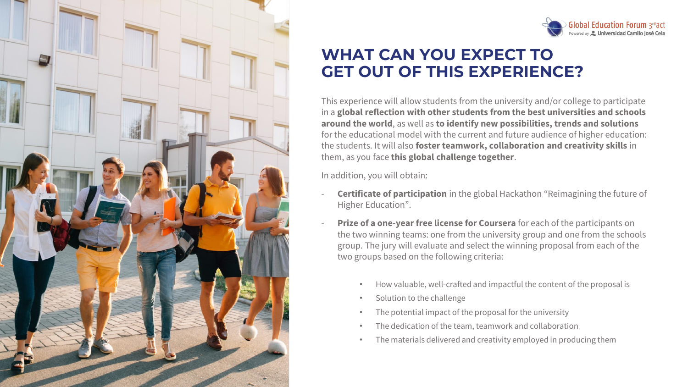



# **WHAT CAN YOU EXPECT TO GET OUT OF THIS EXPERIENCE?**

This experience will allow students from the university and/or college to participate in a **global reflection with other students from the best universities and schools around the world**, as well as **to identify new possibilities, trends and solutions**  for the educational model with the current and future audience of higher education: the students. It will also **foster teamwork, collaboration and creativity skills** in them, as you face **this global challenge together**.

In addition, you will obtain:

- **Certificate of participation** in the global Hackathon "Reimagining the future of Higher Education".
- **Prize of a one-year free license for Coursera** for each of the participants on the two winning teams: one from the university group and one from the schools group. The jury will evaluate and select the winning proposal from each of the two groups based on the following criteria:
	- How valuable, well-crafted and impactful the content of the proposal is
	- Solution to the challenge
	- The potential impact of the proposal for the university
	- The dedication of the team, teamwork and collaboration
	- The materials delivered and creativity employed in producing them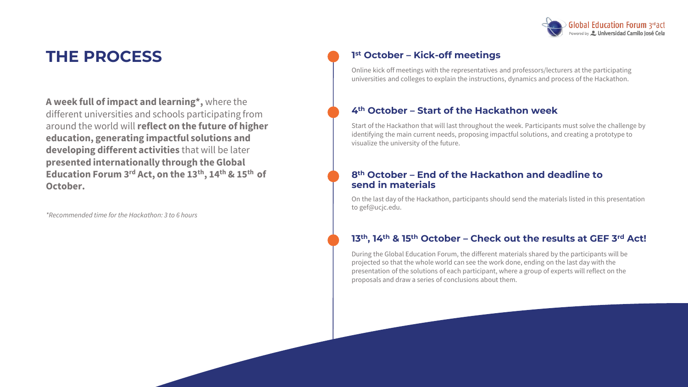

# **THE PROCESS**

**A week full of impact and learning\*,** where the different universities and schools participating from around the world will **reflect on the future of higher education, generating impactful solutions and developing different activities** that will be later **presented internationally through the Global Education Forum 3rd Act, on the 13th, 14th & 15th of October.**

*\*Recommended time for the Hackathon: 3 to 6 hours*

#### **1 st October – Kick-off meetings**

Online kick off meetings with the representatives and professors/lecturers at the participating universities and colleges to explain the instructions, dynamics and process of the Hackathon.

#### **4th October – Start of the Hackathon week**

Start of the Hackathon that will last throughout the week. Participants must solve the challenge by identifying the main current needs, proposing impactful solutions, and creating a prototype to visualize the university of the future.

#### **8th October – End of the Hackathon and deadline to send in materials**

On the last day of the Hackathon, participants should send the materials listed in this presentation to gef@ucjc.edu.

#### **13th, 14th & 15th October – Check out the results at GEF 3rd Act!**

During the Global Education Forum, the different materials shared by the participants will be projected so that the whole world can see the work done, ending on the last day with the presentation of the solutions of each participant, where a group of experts will reflect on the proposals and draw a series of conclusions about them.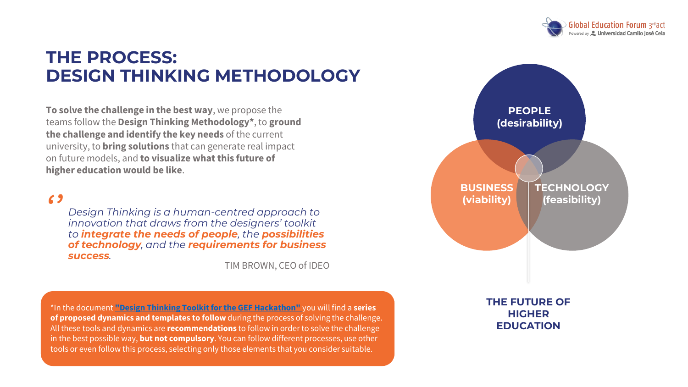

# **THE PROCESS: DESIGN THINKING METHODOLOGY**

**To solve the challenge in the best way**, we propose the teams follow the **Design Thinking Methodology\***, to **ground the challenge and identify the key needs** of the current university, to **bring solutions** that can generate real impact on future models, and **to visualize what this future of higher education would be like**.

*''*

*Design Thinking is a human-centred approach to innovation that draws from the designers' toolkit to integrate the needs of people, the possibilities of technology, and the requirements for business success.* 

TIM BROWN, CEO of IDEO

\*In the document **["Design Thinking Toolkit for the GEF Hackathon"](https://valhallainnovation.wetransfer.com/downloads/082f6ef00e1bfde75aad424fdba5179720210916102412/a4f9fe08f56af770d92f48d3d45bc0e820210916102412/cf8c74)** you will find a **series of proposed dynamics and templates to follow** during the process of solving the challenge. All these tools and dynamics are **recommendations** to follow in order to solve the challenge in the best possible way, **but not compulsory**. You can follow different processes, use other tools or even follow this process, selecting only those elements that you consider suitable.



**THE FUTURE OF HIGHER EDUCATION**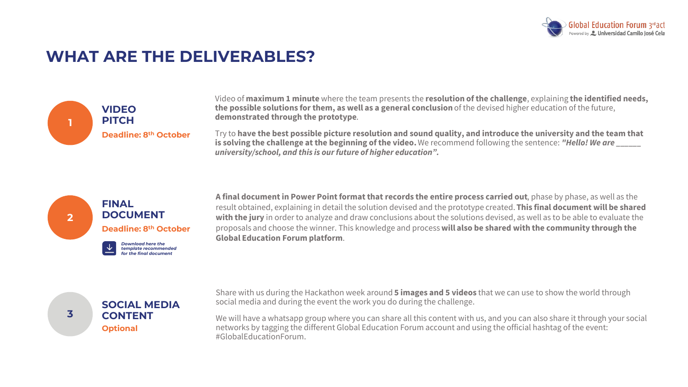

### **WHAT ARE THE DELIVERABLES?**



Video of **maximum 1 minute** where the team presents the **resolution of the challenge**, explaining **the identified needs, the possible solutions for them, as well as a general conclusion** of the devised higher education of the future, **demonstrated through the prototype**.

Try to **have the best possible picture resolution and sound quality, and introduce the university and the team that is solving the challenge at the beginning of the video.** We recommend following the sentence: "Hello! We are *university/school, and this is our future of higher education".*



**A final document in Power Point format that records the entire process carried out**, phase by phase, as well as the result obtained, explaining in detail the solution devised and the prototype created. **This final document will be shared with the jury** in order to analyze and draw conclusions about the solutions devised, as well as to be able to evaluate the proposals and choose the winner. This knowledge and process **will also be shared with the community through the Global Education Forum platform**.



**3**

Share with us during the Hackathon week around **5 images and 5 videos** that we can use to show the world through social media and during the event the work you do during the challenge.

We will have a whatsapp group where you can share all this content with us, and you can also share it through your social networks by tagging the different Global Education Forum account and using the official hashtag of the event: #GlobalEducationForum.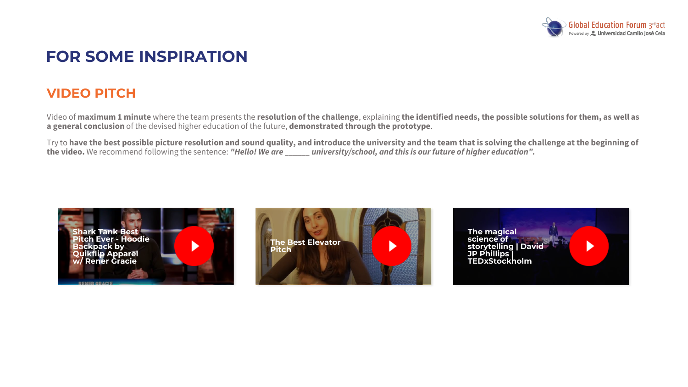

## **FOR SOME INSPIRATION**

### **VIDEO PITCH**

Video of **maximum 1 minute** where the team presents the **resolution of the challenge**, explaining **the identified needs, the possible solutions for them, as well as a general conclusion** of the devised higher education of the future, **demonstrated through the prototype**.

Try to **have the best possible picture resolution and sound quality, and introduce the university and the team that is solving the challenge at the beginning of the video.** We recommend following the sentence: *"Hello! We are \_\_\_\_\_\_ university/school, and this is our future of higher education".*





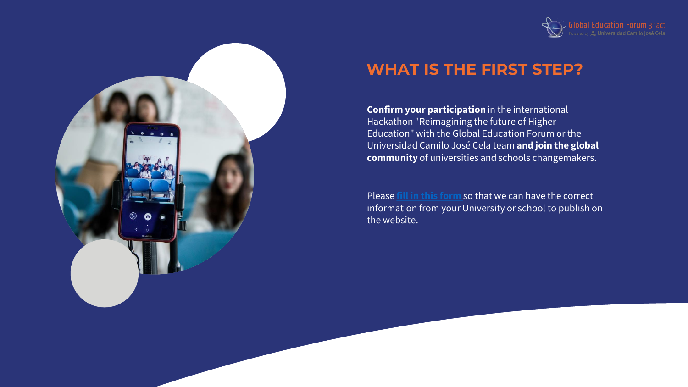![](_page_10_Picture_0.jpeg)

# **WHAT IS THE FIRST STEP?**

**Confirm your participation** in the international Hackathon "Reimagining the future of Higher Education" with the Global Education Forum or the Universidad Camilo José Cela team **and join the global community** of universities and schools changemakers.

Please **[fill in this form](https://valhallainnovation.typeform.com/to/NUU6LJUt)** so that we can have the correct information from your University or school to publish on the website.